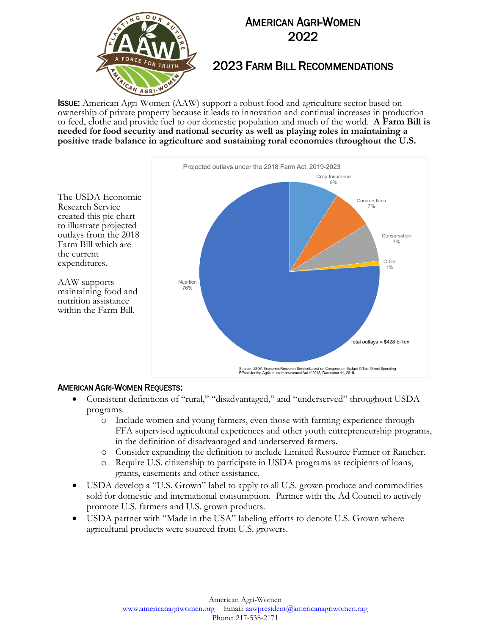

### 2023 FARM BILL RECOMMENDATIONS

ISSUE: American Agri-Women (AAW) support a robust food and agriculture sector based on ownership of private property because it leads to innovation and continual increases in production to feed, clothe and provide fuel to our domestic population and much of the world. **A Farm Bill is needed for food security and national security as well as playing roles in maintaining a positive trade balance in agriculture and sustaining rural economies throughout the U.S.** 



#### AMERICAN AGRI-WOMEN REQUESTS:

Research Service created this pie chart to illustrate projected

Farm Bill which are

the current expenditures.

AAW supports maintaining food and nutrition assistance within the Farm Bill.

- Consistent definitions of "rural," "disadvantaged," and "underserved" throughout USDA programs.
	- o Include women and young farmers, even those with farming experience through FFA supervised agricultural experiences and other youth entrepreneurship programs, in the definition of disadvantaged and underserved farmers.
	- o Consider expanding the definition to include Limited Resource Farmer or Rancher.
	- o Require U.S. citizenship to participate in USDA programs as recipients of loans, grants, easements and other assistance.
- USDA develop a "U.S. Grown" label to apply to all U.S. grown produce and commodities sold for domestic and international consumption. Partner with the Ad Council to actively promote U.S. farmers and U.S. grown products.
- USDA partner with "Made in the USA" labeling efforts to denote U.S. Grown where agricultural products were sourced from U.S. growers.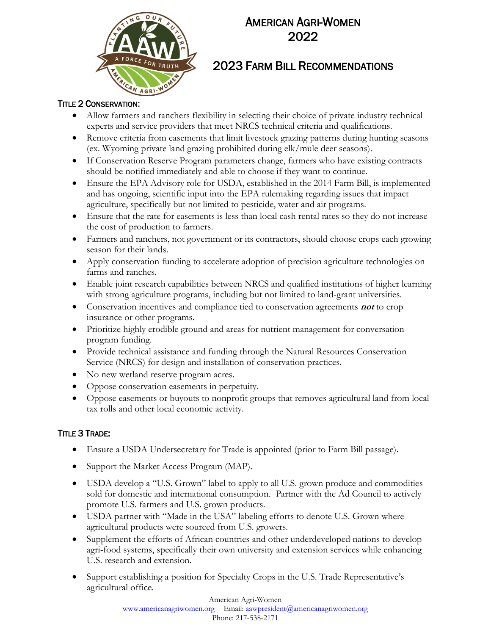

## 2023 FARM BILL RECOMMENDATIONS

#### TITLE 2 CONSERVATION:

- Allow farmers and ranchers flexibility in selecting their choice of private industry technical experts and service providers that meet NRCS technical criteria and qualifications.
- Remove criteria from easements that limit livestock grazing patterns during hunting seasons (ex. Wyoming private land grazing prohibited during elk/mule deer seasons).
- If Conservation Reserve Program parameters change, farmers who have existing contracts should be notified immediately and able to choose if they want to continue.
- Ensure the EPA Advisory role for USDA, established in the 2014 Farm Bill, is implemented and has ongoing, scientific input into the EPA rulemaking regarding issues that impact agriculture, specifically but not limited to pesticide, water and air programs.
- Ensure that the rate for easements is less than local cash rental rates so they do not increase the cost of production to farmers.
- Farmers and ranchers, not government or its contractors, should choose crops each growing season for their lands.
- Apply conservation funding to accelerate adoption of precision agriculture technologies on farms and ranches.
- Enable joint research capabilities between NRCS and qualified institutions of higher learning with strong agriculture programs, including but not limited to land-grant universities.
- Conservation incentives and compliance tied to conservation agreements **not** to crop insurance or other programs.
- Prioritize highly erodible ground and areas for nutrient management for conversation program funding.
- Provide technical assistance and funding through the Natural Resources Conservation Service (NRCS) for design and installation of conservation practices.
- No new wetland reserve program acres.
- Oppose conservation easements in perpetuity.
- Oppose easements or buyouts to nonprofit groups that removes agricultural land from local tax rolls and other local economic activity.

### **TITLE 3 TRADE:**

- Ensure a USDA Undersecretary for Trade is appointed (prior to Farm Bill passage).
- Support the Market Access Program (MAP).
- USDA develop a "U.S. Grown" label to apply to all U.S. grown produce and commodities sold for domestic and international consumption. Partner with the Ad Council to actively promote U.S. farmers and U.S. grown products.
- USDA partner with "Made in the USA" labeling efforts to denote U.S. Grown where agricultural products were sourced from U.S. growers.
- Supplement the efforts of African countries and other underdeveloped nations to develop agri-food systems, specifically their own university and extension services while enhancing U.S. research and extension.
- Support establishing a position for Specialty Crops in the U.S. Trade Representative's agricultural office.

American Agri-Women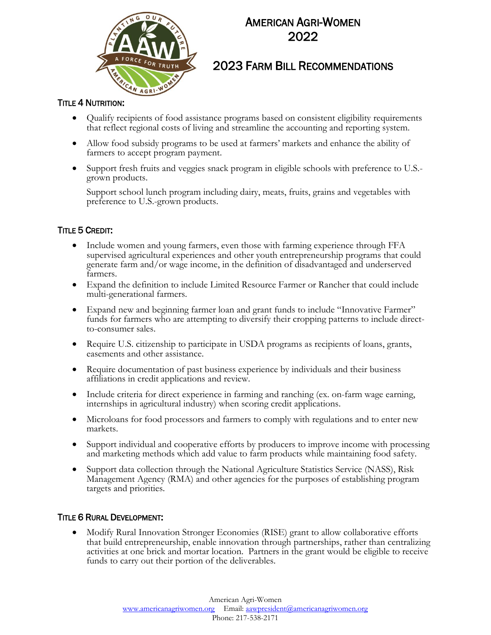

## 2023 FARM BILL RECOMMENDATIONS

### **TITLE 4 NUTRITION:**

- Qualify recipients of food assistance programs based on consistent eligibility requirements that reflect regional costs of living and streamline the accounting and reporting system.
- Allow food subsidy programs to be used at farmers' markets and enhance the ability of farmers to accept program payment.
- Support fresh fruits and veggies snack program in eligible schools with preference to U.S. grown products.

Support school lunch program including dairy, meats, fruits, grains and vegetables with preference to U.S.-grown products.

### TITLE 5 CREDIT:

- Include women and young farmers, even those with farming experience through FFA supervised agricultural experiences and other youth entrepreneurship programs that could generate farm and/or wage income, in the definition of disadvantaged and underserved farmers.
- Expand the definition to include Limited Resource Farmer or Rancher that could include multi-generational farmers.
- Expand new and beginning farmer loan and grant funds to include "Innovative Farmer" funds for farmers who are attempting to diversify their cropping patterns to include directto-consumer sales.
- Require U.S. citizenship to participate in USDA programs as recipients of loans, grants, easements and other assistance.
- Require documentation of past business experience by individuals and their business affiliations in credit applications and review.
- Include criteria for direct experience in farming and ranching (ex. on-farm wage earning, internships in agricultural industry) when scoring credit applications.
- Microloans for food processors and farmers to comply with regulations and to enter new markets.
- Support individual and cooperative efforts by producers to improve income with processing and marketing methods which add value to farm products while maintaining food safety.
- Support data collection through the National Agriculture Statistics Service (NASS), Risk Management Agency (RMA) and other agencies for the purposes of establishing program targets and priorities.

#### TITLE 6 RURAL DEVELOPMENT:

• Modify Rural Innovation Stronger Economies (RISE) grant to allow collaborative efforts that build entrepreneurship, enable innovation through partnerships, rather than centralizing activities at one brick and mortar location. Partners in the grant would be eligible to receive funds to carry out their portion of the deliverables.

> American Agri-Women [www.americanagriwomen.org](http://www.americanagriwomen.org/) Email[: aawpresident@americanagriwomen.org](mailto:aawpresident@americanagriwomen.org) Phone: 217-538-2171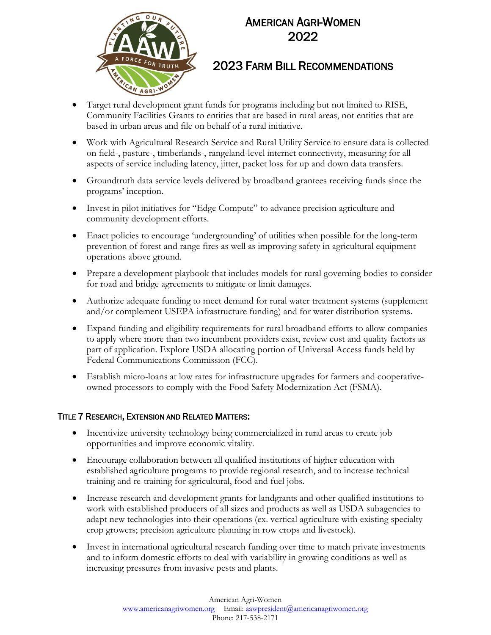

## 2023 FARM BILL RECOMMENDATIONS

- Target rural development grant funds for programs including but not limited to RISE, Community Facilities Grants to entities that are based in rural areas, not entities that are based in urban areas and file on behalf of a rural initiative.
- Work with Agricultural Research Service and Rural Utility Service to ensure data is collected on field-, pasture-, timberlands-, rangeland-level internet connectivity, measuring for all aspects of service including latency, jitter, packet loss for up and down data transfers.
- Groundtruth data service levels delivered by broadband grantees receiving funds since the programs' inception.
- Invest in pilot initiatives for "Edge Compute" to advance precision agriculture and community development efforts.
- Enact policies to encourage 'undergrounding' of utilities when possible for the long-term prevention of forest and range fires as well as improving safety in agricultural equipment operations above ground.
- Prepare a development playbook that includes models for rural governing bodies to consider for road and bridge agreements to mitigate or limit damages.
- Authorize adequate funding to meet demand for rural water treatment systems (supplement and/or complement USEPA infrastructure funding) and for water distribution systems.
- Expand funding and eligibility requirements for rural broadband efforts to allow companies to apply where more than two incumbent providers exist, review cost and quality factors as part of application. Explore USDA allocating portion of Universal Access funds held by Federal Communications Commission (FCC).
- Establish micro-loans at low rates for infrastructure upgrades for farmers and cooperativeowned processors to comply with the Food Safety Modernization Act (FSMA).

### TITLE 7 RESEARCH, EXTENSION AND RELATED MATTERS:

- Incentivize university technology being commercialized in rural areas to create job opportunities and improve economic vitality.
- Encourage collaboration between all qualified institutions of higher education with established agriculture programs to provide regional research, and to increase technical training and re-training for agricultural, food and fuel jobs.
- Increase research and development grants for landgrants and other qualified institutions to work with established producers of all sizes and products as well as USDA subagencies to adapt new technologies into their operations (ex. vertical agriculture with existing specialty crop growers; precision agriculture planning in row crops and livestock).
- Invest in international agricultural research funding over time to match private investments and to inform domestic efforts to deal with variability in growing conditions as well as increasing pressures from invasive pests and plants.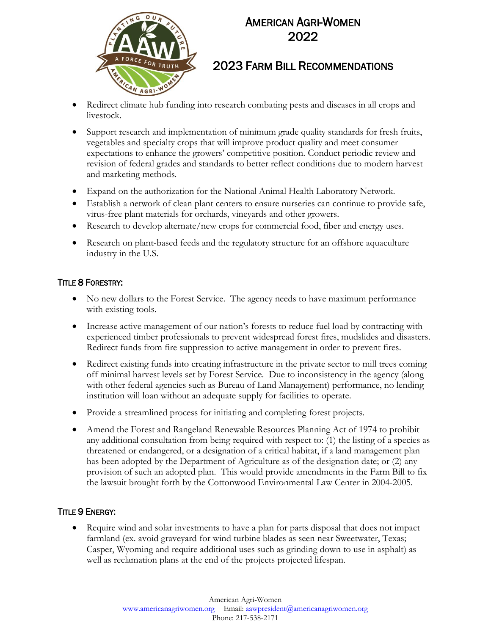

## 2023 FARM BILL RECOMMENDATIONS

- Redirect climate hub funding into research combating pests and diseases in all crops and livestock.
- Support research and implementation of minimum grade quality standards for fresh fruits, vegetables and specialty crops that will improve product quality and meet consumer expectations to enhance the growers' competitive position. Conduct periodic review and revision of federal grades and standards to better reflect conditions due to modern harvest and marketing methods.
- Expand on the authorization for the National Animal Health Laboratory Network.
- Establish a network of clean plant centers to ensure nurseries can continue to provide safe, virus-free plant materials for orchards, vineyards and other growers.
- Research to develop alternate/new crops for commercial food, fiber and energy uses.
- Research on plant-based feeds and the regulatory structure for an offshore aquaculture industry in the U.S.

### **TITLE 8 FORESTRY:**

- No new dollars to the Forest Service. The agency needs to have maximum performance with existing tools.
- Increase active management of our nation's forests to reduce fuel load by contracting with experienced timber professionals to prevent widespread forest fires, mudslides and disasters. Redirect funds from fire suppression to active management in order to prevent fires.
- Redirect existing funds into creating infrastructure in the private sector to mill trees coming off minimal harvest levels set by Forest Service. Due to inconsistency in the agency (along with other federal agencies such as Bureau of Land Management) performance, no lending institution will loan without an adequate supply for facilities to operate.
- Provide a streamlined process for initiating and completing forest projects.
- Amend the Forest and Rangeland Renewable Resources Planning Act of 1974 to prohibit any additional consultation from being required with respect to: (1) the listing of a species as threatened or endangered, or a designation of a critical habitat, if a land management plan has been adopted by the Department of Agriculture as of the designation date; or (2) any provision of such an adopted plan. This would provide amendments in the Farm Bill to fix the lawsuit brought forth by the Cottonwood Environmental Law Center in 2004-2005.

### **TITLE 9 ENERGY:**

• Require wind and solar investments to have a plan for parts disposal that does not impact farmland (ex. avoid graveyard for wind turbine blades as seen near Sweetwater, Texas; Casper, Wyoming and require additional uses such as grinding down to use in asphalt) as well as reclamation plans at the end of the projects projected lifespan.

> American Agri-Women [www.americanagriwomen.org](http://www.americanagriwomen.org/) Email[: aawpresident@americanagriwomen.org](mailto:aawpresident@americanagriwomen.org) Phone: 217-538-2171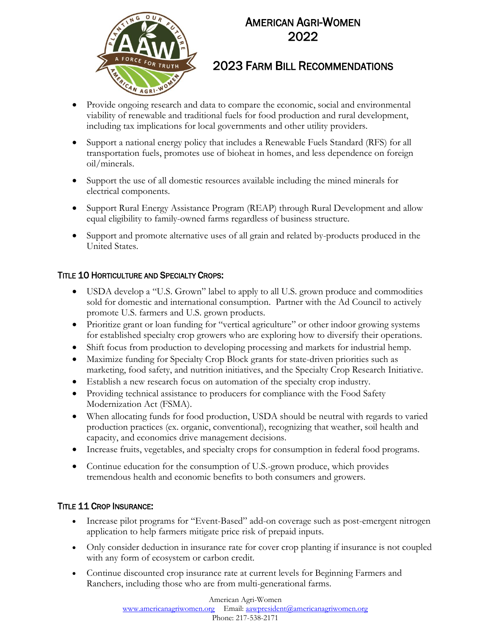

## 2023 FARM BILL RECOMMENDATIONS

- Provide ongoing research and data to compare the economic, social and environmental viability of renewable and traditional fuels for food production and rural development, including tax implications for local governments and other utility providers.
- Support a national energy policy that includes a Renewable Fuels Standard (RFS) for all transportation fuels, promotes use of bioheat in homes, and less dependence on foreign oil/minerals.
- Support the use of all domestic resources available including the mined minerals for electrical components.
- Support Rural Energy Assistance Program (REAP) through Rural Development and allow equal eligibility to family-owned farms regardless of business structure.
- Support and promote alternative uses of all grain and related by-products produced in the United States.

### TITLE 10 HORTICULTURE AND SPECIALTY CROPS:

- USDA develop a "U.S. Grown" label to apply to all U.S. grown produce and commodities sold for domestic and international consumption. Partner with the Ad Council to actively promote U.S. farmers and U.S. grown products.
- Prioritize grant or loan funding for "vertical agriculture" or other indoor growing systems for established specialty crop growers who are exploring how to diversify their operations.
- Shift focus from production to developing processing and markets for industrial hemp.
- Maximize funding for Specialty Crop Block grants for state-driven priorities such as marketing, food safety, and nutrition initiatives, and the Specialty Crop Research Initiative.
- Establish a new research focus on automation of the specialty crop industry.
- Providing technical assistance to producers for compliance with the Food Safety Modernization Act (FSMA).
- When allocating funds for food production, USDA should be neutral with regards to varied production practices (ex. organic, conventional), recognizing that weather, soil health and capacity, and economics drive management decisions.
- Increase fruits, vegetables, and specialty crops for consumption in federal food programs.
- Continue education for the consumption of U.S.-grown produce, which provides tremendous health and economic benefits to both consumers and growers.

### TITLE 11 CROP INSURANCE:

- Increase pilot programs for "Event-Based" add-on coverage such as post-emergent nitrogen application to help farmers mitigate price risk of prepaid inputs.
- Only consider deduction in insurance rate for cover crop planting if insurance is not coupled with any form of ecosystem or carbon credit.
- Continue discounted crop insurance rate at current levels for Beginning Farmers and Ranchers, including those who are from multi-generational farms.